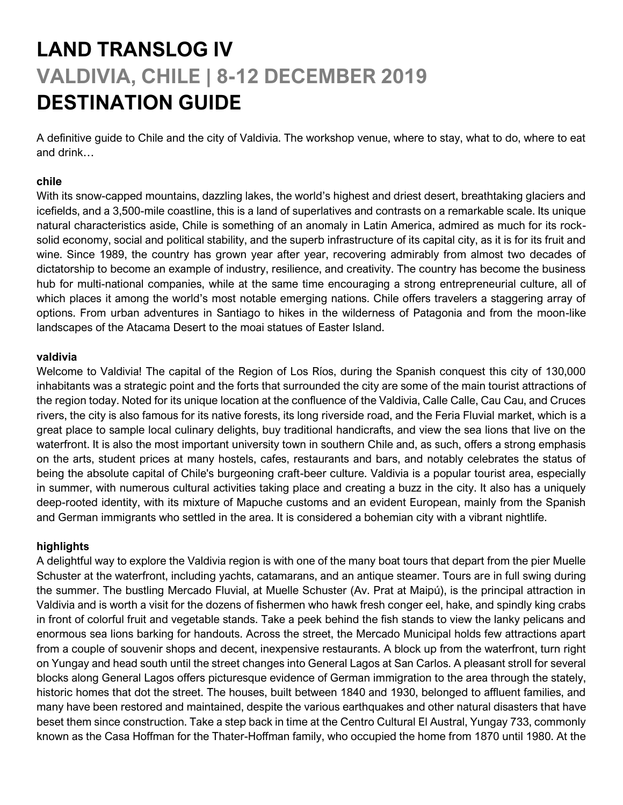# **LAND TRANSLOG IV VALDIVIA, CHILE | 8-12 DECEMBER 2019 DESTINATION GUIDE**

A definitive guide to Chile and the city of Valdivia. The workshop venue, where to stay, what to do, where to eat and drink…

## **chile**

With its snow-capped mountains, dazzling lakes, the world's highest and driest desert, breathtaking glaciers and icefields, and a 3,500-mile coastline, this is a land of superlatives and contrasts on a remarkable scale. Its unique natural characteristics aside, Chile is something of an anomaly in Latin America, admired as much for its rocksolid economy, social and political stability, and the superb infrastructure of its capital city, as it is for its fruit and wine. Since 1989, the country has grown year after year, recovering admirably from almost two decades of dictatorship to become an example of industry, resilience, and creativity. The country has become the business hub for multi-national companies, while at the same time encouraging a strong entrepreneurial culture, all of which places it among the world's most notable emerging nations. Chile offers travelers a staggering array of options. From urban adventures in Santiago to hikes in the wilderness of Patagonia and from the moon-like landscapes of the Atacama Desert to the moai statues of Easter Island.

#### **valdivia**

Welcome to Valdivia! The capital of the Region of Los Ríos, during the Spanish conquest this city of 130,000 inhabitants was a strategic point and the forts that surrounded the city are some of the main tourist attractions of the region today. Noted for its unique location at the confluence of the Valdivia, Calle Calle, Cau Cau, and Cruces rivers, the city is also famous for its native forests, its long riverside road, and the Feria Fluvial market, which is a great place to sample local culinary delights, buy traditional handicrafts, and view the sea lions that live on the waterfront. It is also the most important university town in southern Chile and, as such, offers a strong emphasis on the arts, student prices at many hostels, cafes, restaurants and bars, and notably celebrates the status of being the absolute capital of Chile's burgeoning craft-beer culture. Valdivia is a popular tourist area, especially in summer, with numerous cultural activities taking place and creating a buzz in the city. It also has a uniquely deep-rooted identity, with its mixture of Mapuche customs and an evident European, mainly from the Spanish and German immigrants who settled in the area. It is considered a bohemian city with a vibrant nightlife.

## **highlights**

A delightful way to explore the Valdivia region is with one of the many boat tours that depart from the pier Muelle Schuster at the waterfront, including yachts, catamarans, and an antique steamer. Tours are in full swing during the summer. The bustling Mercado Fluvial, at Muelle Schuster (Av. Prat at Maipú), is the principal attraction in Valdivia and is worth a visit for the dozens of fishermen who hawk fresh conger eel, hake, and spindly king crabs in front of colorful fruit and vegetable stands. Take a peek behind the fish stands to view the lanky pelicans and enormous sea lions barking for handouts. Across the street, the Mercado Municipal holds few attractions apart from a couple of souvenir shops and decent, inexpensive restaurants. A block up from the waterfront, turn right on Yungay and head south until the street changes into General Lagos at San Carlos. A pleasant stroll for several blocks along General Lagos offers picturesque evidence of German immigration to the area through the stately, historic homes that dot the street. The houses, built between 1840 and 1930, belonged to affluent families, and many have been restored and maintained, despite the various earthquakes and other natural disasters that have beset them since construction. Take a step back in time at the Centro Cultural El Austral, Yungay 733, commonly known as the Casa Hoffman for the Thater-Hoffman family, who occupied the home from 1870 until 1980. At the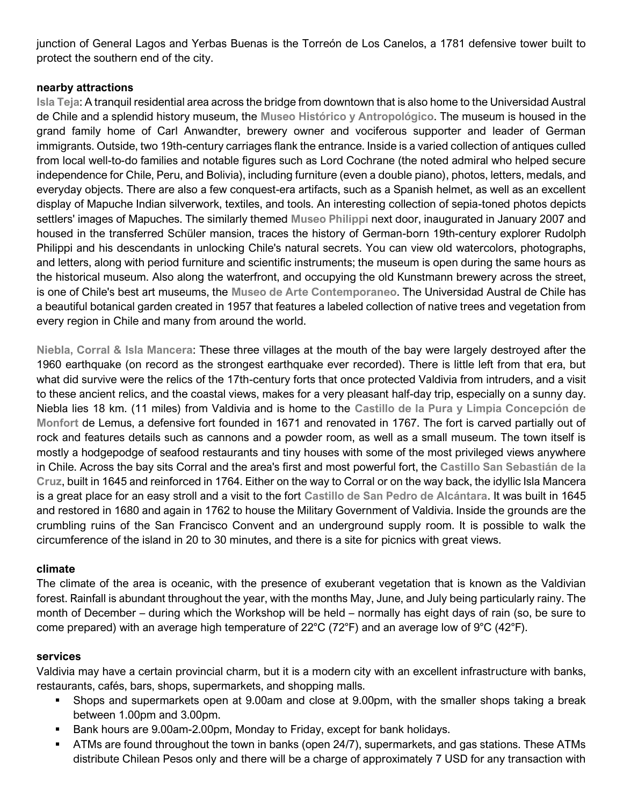junction of General Lagos and Yerbas Buenas is the Torreón de Los Canelos, a 1781 defensive tower built to protect the southern end of the city.

## **nearby attractions**

**Isla Teja**: A tranquil residential area across the bridge from downtown that is also home to the Universidad Austral de Chile and a splendid history museum, the **Museo Histórico y Antropológico**. The museum is housed in the grand family home of Carl Anwandter, brewery owner and vociferous supporter and leader of German immigrants. Outside, two 19th-century carriages flank the entrance. Inside is a varied collection of antiques culled from local well-to-do families and notable figures such as Lord Cochrane (the noted admiral who helped secure independence for Chile, Peru, and Bolivia), including furniture (even a double piano), photos, letters, medals, and everyday objects. There are also a few conquest-era artifacts, such as a Spanish helmet, as well as an excellent display of Mapuche Indian silverwork, textiles, and tools. An interesting collection of sepia-toned photos depicts settlers' images of Mapuches. The similarly themed **Museo Philippi** next door, inaugurated in January 2007 and housed in the transferred Schüler mansion, traces the history of German-born 19th-century explorer Rudolph Philippi and his descendants in unlocking Chile's natural secrets. You can view old watercolors, photographs, and letters, along with period furniture and scientific instruments; the museum is open during the same hours as the historical museum. Also along the waterfront, and occupying the old Kunstmann brewery across the street, is one of Chile's best art museums, the **Museo de Arte Contemporaneo**. The Universidad Austral de Chile has a beautiful botanical garden created in 1957 that features a labeled collection of native trees and vegetation from every region in Chile and many from around the world.

**Niebla, Corral & Isla Mancera**: These three villages at the mouth of the bay were largely destroyed after the 1960 earthquake (on record as the strongest earthquake ever recorded). There is little left from that era, but what did survive were the relics of the 17th-century forts that once protected Valdivia from intruders, and a visit to these ancient relics, and the coastal views, makes for a very pleasant half-day trip, especially on a sunny day. Niebla lies 18 km. (11 miles) from Valdivia and is home to the **Castillo de la Pura y Limpia Concepción de Monfort** de Lemus, a defensive fort founded in 1671 and renovated in 1767. The fort is carved partially out of rock and features details such as cannons and a powder room, as well as a small museum. The town itself is mostly a hodgepodge of seafood restaurants and tiny houses with some of the most privileged views anywhere in Chile. Across the bay sits Corral and the area's first and most powerful fort, the **Castillo San Sebastián de la Cruz**, built in 1645 and reinforced in 1764. Either on the way to Corral or on the way back, the idyllic Isla Mancera is a great place for an easy stroll and a visit to the fort **Castillo de San Pedro de Alcántara**. It was built in 1645 and restored in 1680 and again in 1762 to house the Military Government of Valdivia. Inside the grounds are the crumbling ruins of the San Francisco Convent and an underground supply room. It is possible to walk the circumference of the island in 20 to 30 minutes, and there is a site for picnics with great views.

## **climate**

The climate of the area is oceanic, with the presence of exuberant vegetation that is known as the Valdivian forest. Rainfall is abundant throughout the year, with the months May, June, and July being particularly rainy. The month of December – during which the Workshop will be held – normally has eight days of rain (so, be sure to come prepared) with an average high temperature of  $22^{\circ}C$  (72 $^{\circ}F$ ) and an average low of  $9^{\circ}C$  (42 $^{\circ}F$ ).

## **services**

Valdivia may have a certain provincial charm, but it is a modern city with an excellent infrastructure with banks, restaurants, cafés, bars, shops, supermarkets, and shopping malls.

- Shops and supermarkets open at 9.00am and close at 9.00pm, with the smaller shops taking a break between 1.00pm and 3.00pm.
- Bank hours are 9.00am-2.00pm, Monday to Friday, except for bank holidays.
- ATMs are found throughout the town in banks (open 24/7), supermarkets, and gas stations. These ATMs distribute Chilean Pesos only and there will be a charge of approximately 7 USD for any transaction with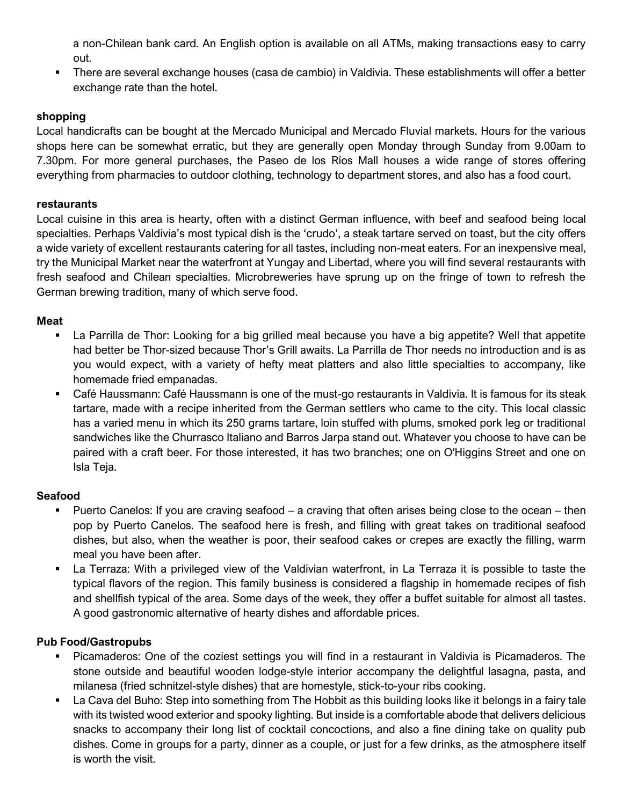a non-Chilean bank card. An English option is available on all ATMs, making transactions easy to carry out.

▪ There are several exchange houses (casa de cambio) in Valdivia. These establishments will offer a better exchange rate than the hotel.

## **shopping**

Local handicrafts can be bought at the Mercado Municipal and Mercado Fluvial markets. Hours for the various shops here can be somewhat erratic, but they are generally open Monday through Sunday from 9.00am to 7.30pm. For more general purchases, the Paseo de los Ríos Mall houses a wide range of stores offering everything from pharmacies to outdoor clothing, technology to department stores, and also has a food court.

## **restaurants**

Local cuisine in this area is hearty, often with a distinct German influence, with beef and seafood being local specialties. Perhaps Valdivia's most typical dish is the 'crudo', a steak tartare served on toast, but the city offers a wide variety of excellent restaurants catering for all tastes, including non-meat eaters. For an inexpensive meal, try the Municipal Market near the waterfront at Yungay and Libertad, where you will find several restaurants with fresh seafood and Chilean specialties. Microbreweries have sprung up on the fringe of town to refresh the German brewing tradition, many of which serve food.

## **Meat**

- La Parrilla de Thor: Looking for a big grilled meal because you have a big appetite? Well that appetite had better be Thor-sized because Thor's Grill awaits. La Parrilla de Thor needs no introduction and is as you would expect, with a variety of hefty meat platters and also little specialties to accompany, like homemade fried empanadas.
- Café Haussmann: Café Haussmann is one of the must-go restaurants in Valdivia. It is famous for its steak tartare, made with a recipe inherited from the German settlers who came to the city. This local classic has a varied menu in which its 250 grams tartare, loin stuffed with plums, smoked pork leg or traditional sandwiches like the Churrasco Italiano and Barros Jarpa stand out. Whatever you choose to have can be paired with a craft beer. For those interested, it has two branches; one on O'Higgins Street and one on Isla Teja.

## **Seafood**

- Puerto Canelos: If you are craving seafood a craving that often arises being close to the ocean then pop by Puerto Canelos. The seafood here is fresh, and filling with great takes on traditional seafood dishes, but also, when the weather is poor, their seafood cakes or crepes are exactly the filling, warm meal you have been after.
- La Terraza: With a privileged view of the Valdivian waterfront, in La Terraza it is possible to taste the typical flavors of the region. This family business is considered a flagship in homemade recipes of fish and shellfish typical of the area. Some days of the week, they offer a buffet suitable for almost all tastes. A good gastronomic alternative of hearty dishes and affordable prices.

## **Pub Food/Gastropubs**

- Picamaderos: One of the coziest settings you will find in a restaurant in Valdivia is Picamaderos. The stone outside and beautiful wooden lodge-style interior accompany the delightful lasagna, pasta, and milanesa (fried schnitzel-style dishes) that are homestyle, stick-to-your ribs cooking.
- La Cava del Buho: Step into something from The Hobbit as this building looks like it belongs in a fairy tale with its twisted wood exterior and spooky lighting. But inside is a comfortable abode that delivers delicious snacks to accompany their long list of cocktail concoctions, and also a fine dining take on quality pub dishes. Come in groups for a party, dinner as a couple, or just for a few drinks, as the atmosphere itself is worth the visit.